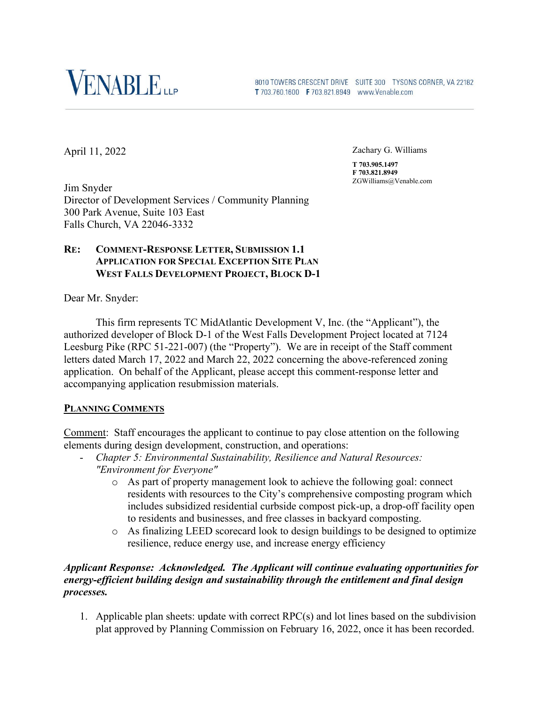

8010 TOWERS CRESCENT DRIVE SUITE 300 TYSONS CORNER, VA 22182 T 703.760.1600 F 703.821.8949 www.Venable.com

April 11, 2022

Zachary G. Williams

**T 703.905.1497 F 703.821.8949** ZGWilliams@Venable.com

Jim Snyder Director of Development Services / Community Planning 300 Park Avenue, Suite 103 East Falls Church, VA 22046-3332

# **RE: COMMENT-RESPONSE LETTER, SUBMISSION 1.1 APPLICATION FOR SPECIAL EXCEPTION SITE PLAN WEST FALLS DEVELOPMENT PROJECT, BLOCK D-1**

Dear Mr. Snyder:

This firm represents TC MidAtlantic Development V, Inc. (the "Applicant"), the authorized developer of Block D-1 of the West Falls Development Project located at 7124 Leesburg Pike (RPC 51-221-007) (the "Property"). We are in receipt of the Staff comment letters dated March 17, 2022 and March 22, 2022 concerning the above-referenced zoning application. On behalf of the Applicant, please accept this comment-response letter and accompanying application resubmission materials.

# **PLANNING COMMENTS**

Comment: Staff encourages the applicant to continue to pay close attention on the following elements during design development, construction, and operations:

- *Chapter 5: Environmental Sustainability, Resilience and Natural Resources: "Environment for Everyone"* 
	- o As part of property management look to achieve the following goal: connect residents with resources to the City's comprehensive composting program which includes subsidized residential curbside compost pick‐up, a drop‐off facility open to residents and businesses, and free classes in backyard composting.
	- o As finalizing LEED scorecard look to design buildings to be designed to optimize resilience, reduce energy use, and increase energy efficiency

# *Applicant Response: Acknowledged. The Applicant will continue evaluating opportunities for energy-efficient building design and sustainability through the entitlement and final design processes.*

1. Applicable plan sheets: update with correct RPC(s) and lot lines based on the subdivision plat approved by Planning Commission on February 16, 2022, once it has been recorded.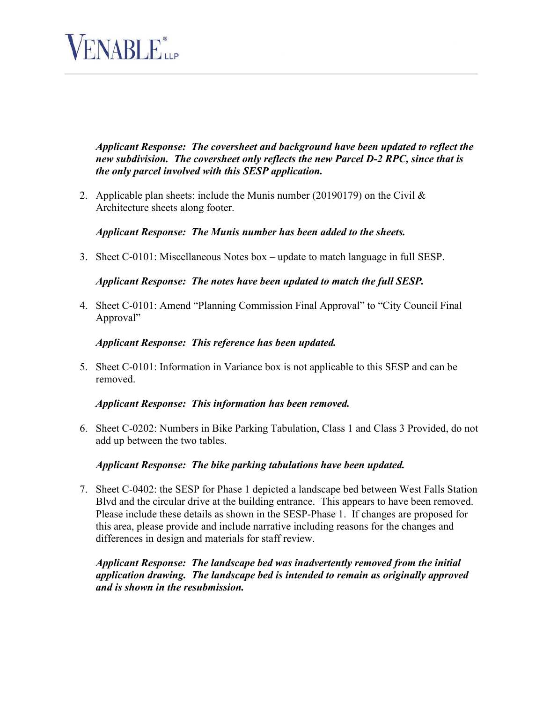

*Applicant Response: The coversheet and background have been updated to reflect the new subdivision. The coversheet only reflects the new Parcel D-2 RPC, since that is the only parcel involved with this SESP application.*

2. Applicable plan sheets: include the Munis number (20190179) on the Civil  $\&$ Architecture sheets along footer.

#### *Applicant Response: The Munis number has been added to the sheets.*

3. Sheet C-0101: Miscellaneous Notes box – update to match language in full SESP.

#### *Applicant Response: The notes have been updated to match the full SESP.*

4. Sheet C-0101: Amend "Planning Commission Final Approval" to "City Council Final Approval"

#### *Applicant Response: This reference has been updated.*

5. Sheet C-0101: Information in Variance box is not applicable to this SESP and can be removed.

#### *Applicant Response: This information has been removed.*

6. Sheet C-0202: Numbers in Bike Parking Tabulation, Class 1 and Class 3 Provided, do not add up between the two tables.

# *Applicant Response: The bike parking tabulations have been updated.*

7. Sheet C-0402: the SESP for Phase 1 depicted a landscape bed between West Falls Station Blvd and the circular drive at the building entrance. This appears to have been removed. Please include these details as shown in the SESP-Phase 1. If changes are proposed for this area, please provide and include narrative including reasons for the changes and differences in design and materials for staff review.

*Applicant Response: The landscape bed was inadvertently removed from the initial application drawing. The landscape bed is intended to remain as originally approved and is shown in the resubmission.*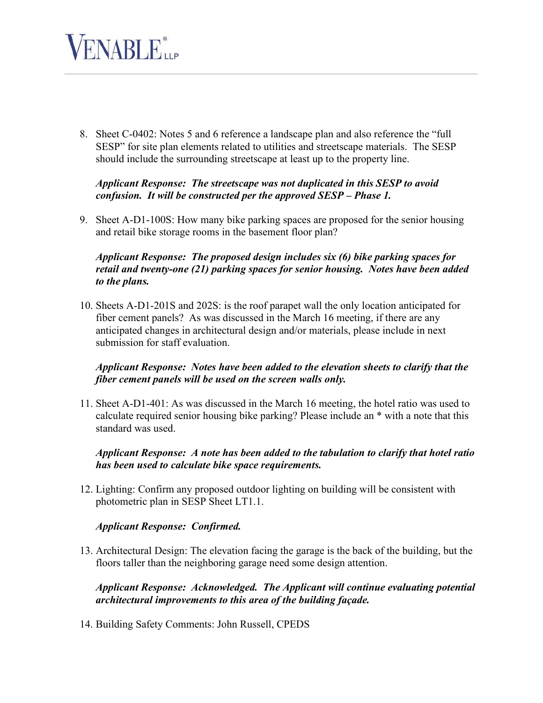

8. Sheet C-0402: Notes 5 and 6 reference a landscape plan and also reference the "full SESP" for site plan elements related to utilities and streetscape materials. The SESP should include the surrounding streetscape at least up to the property line.

#### *Applicant Response: The streetscape was not duplicated in this SESP to avoid confusion. It will be constructed per the approved SESP – Phase 1.*

9. Sheet A-D1-100S: How many bike parking spaces are proposed for the senior housing and retail bike storage rooms in the basement floor plan?

# *Applicant Response: The proposed design includes six (6) bike parking spaces for retail and twenty-one (21) parking spaces for senior housing. Notes have been added to the plans.*

10. Sheets A-D1-201S and 202S: is the roof parapet wall the only location anticipated for fiber cement panels? As was discussed in the March 16 meeting, if there are any anticipated changes in architectural design and/or materials, please include in next submission for staff evaluation.

# *Applicant Response: Notes have been added to the elevation sheets to clarify that the fiber cement panels will be used on the screen walls only.*

11. Sheet A-D1-401: As was discussed in the March 16 meeting, the hotel ratio was used to calculate required senior housing bike parking? Please include an \* with a note that this standard was used.

# *Applicant Response: A note has been added to the tabulation to clarify that hotel ratio has been used to calculate bike space requirements.*

12. Lighting: Confirm any proposed outdoor lighting on building will be consistent with photometric plan in SESP Sheet LT1.1.

# *Applicant Response: Confirmed.*

13. Architectural Design: The elevation facing the garage is the back of the building, but the floors taller than the neighboring garage need some design attention.

*Applicant Response: Acknowledged. The Applicant will continue evaluating potential architectural improvements to this area of the building façade.* 

14. Building Safety Comments: John Russell, CPEDS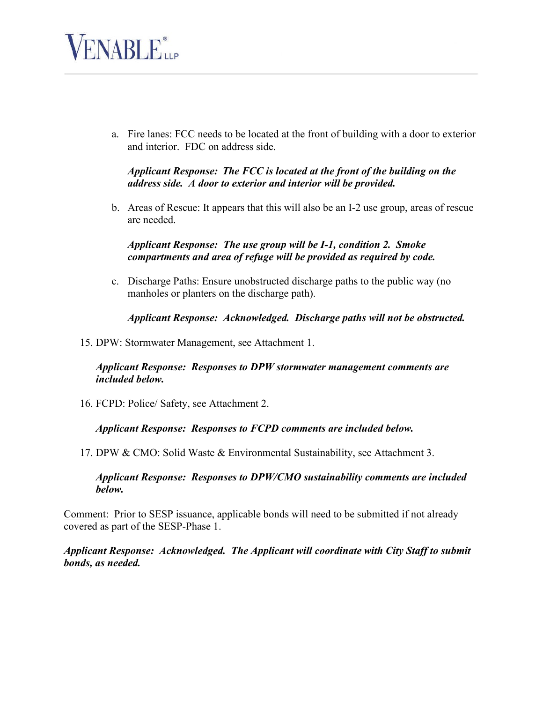

a. Fire lanes: FCC needs to be located at the front of building with a door to exterior and interior. FDC on address side.

#### *Applicant Response: The FCC is located at the front of the building on the address side. A door to exterior and interior will be provided.*

b. Areas of Rescue: It appears that this will also be an I-2 use group, areas of rescue are needed.

# *Applicant Response: The use group will be I-1, condition 2. Smoke compartments and area of refuge will be provided as required by code.*

c. Discharge Paths: Ensure unobstructed discharge paths to the public way (no manholes or planters on the discharge path).

# *Applicant Response: Acknowledged. Discharge paths will not be obstructed.*

15. DPW: Stormwater Management, see Attachment 1.

# *Applicant Response: Responses to DPW stormwater management comments are included below.*

16. FCPD: Police/ Safety, see Attachment 2.

# *Applicant Response: Responses to FCPD comments are included below.*

17. DPW & CMO: Solid Waste & Environmental Sustainability, see Attachment 3.

#### *Applicant Response: Responses to DPW/CMO sustainability comments are included below.*

Comment: Prior to SESP issuance, applicable bonds will need to be submitted if not already covered as part of the SESP-Phase 1.

*Applicant Response: Acknowledged. The Applicant will coordinate with City Staff to submit bonds, as needed.*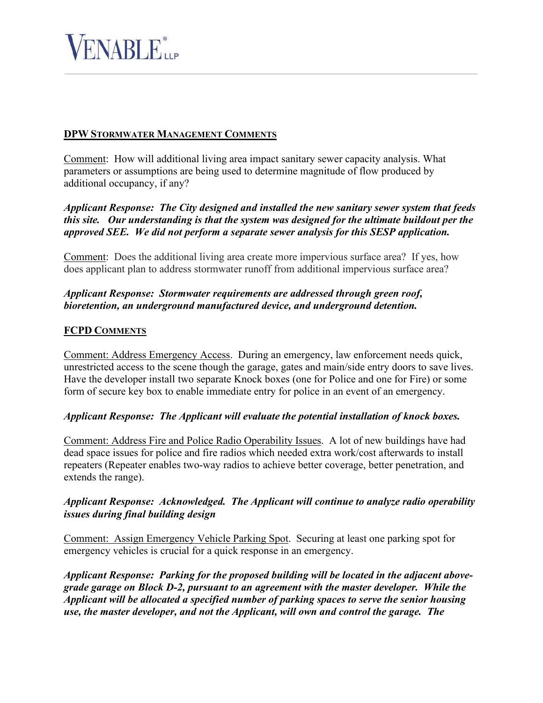

# **DPW STORMWATER MANAGEMENT COMMENTS**

Comment: How will additional living area impact sanitary sewer capacity analysis. What parameters or assumptions are being used to determine magnitude of flow produced by additional occupancy, if any?

*Applicant Response: The City designed and installed the new sanitary sewer system that feeds this site. Our understanding is that the system was designed for the ultimate buildout per the approved SEE. We did not perform a separate sewer analysis for this SESP application.*

Comment: Does the additional living area create more impervious surface area? If yes, how does applicant plan to address stormwater runoff from additional impervious surface area?

# *Applicant Response: Stormwater requirements are addressed through green roof, bioretention, an underground manufactured device, and underground detention.*

#### **FCPD COMMENTS**

Comment: Address Emergency Access. During an emergency, law enforcement needs quick, unrestricted access to the scene though the garage, gates and main/side entry doors to save lives. Have the developer install two separate Knock boxes (one for Police and one for Fire) or some form of secure key box to enable immediate entry for police in an event of an emergency.

#### *Applicant Response: The Applicant will evaluate the potential installation of knock boxes.*

Comment: Address Fire and Police Radio Operability Issues. A lot of new buildings have had dead space issues for police and fire radios which needed extra work/cost afterwards to install repeaters (Repeater enables two-way radios to achieve better coverage, better penetration, and extends the range).

# *Applicant Response: Acknowledged. The Applicant will continue to analyze radio operability issues during final building design*

Comment: Assign Emergency Vehicle Parking Spot. Securing at least one parking spot for emergency vehicles is crucial for a quick response in an emergency.

*Applicant Response: Parking for the proposed building will be located in the adjacent abovegrade garage on Block D-2, pursuant to an agreement with the master developer. While the Applicant will be allocated a specified number of parking spaces to serve the senior housing use, the master developer, and not the Applicant, will own and control the garage. The*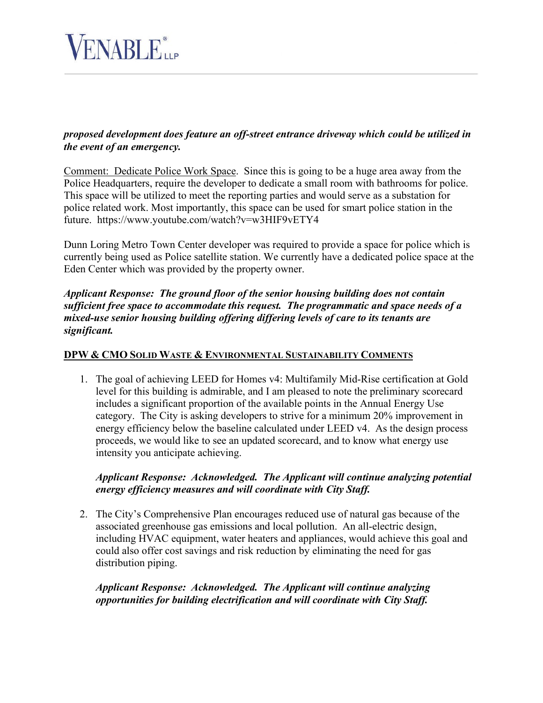

# *proposed development does feature an off-street entrance driveway which could be utilized in the event of an emergency.*

Comment: Dedicate Police Work Space. Since this is going to be a huge area away from the Police Headquarters, require the developer to dedicate a small room with bathrooms for police. This space will be utilized to meet the reporting parties and would serve as a substation for police related work. Most importantly, this space can be used for smart police station in the future. https://www.youtube.com/watch?v=w3HIF9vETY4

Dunn Loring Metro Town Center developer was required to provide a space for police which is currently being used as Police satellite station. We currently have a dedicated police space at the Eden Center which was provided by the property owner.

*Applicant Response: The ground floor of the senior housing building does not contain sufficient free space to accommodate this request. The programmatic and space needs of a mixed-use senior housing building offering differing levels of care to its tenants are significant.*

#### **DPW & CMO SOLID WASTE & ENVIRONMENTAL SUSTAINABILITY COMMENTS**

1. The goal of achieving LEED for Homes v4: Multifamily Mid-Rise certification at Gold level for this building is admirable, and I am pleased to note the preliminary scorecard includes a significant proportion of the available points in the Annual Energy Use category. The City is asking developers to strive for a minimum 20% improvement in energy efficiency below the baseline calculated under LEED v4. As the design process proceeds, we would like to see an updated scorecard, and to know what energy use intensity you anticipate achieving.

# *Applicant Response: Acknowledged. The Applicant will continue analyzing potential energy efficiency measures and will coordinate with City Staff.*

2. The City's Comprehensive Plan encourages reduced use of natural gas because of the associated greenhouse gas emissions and local pollution. An all-electric design, including HVAC equipment, water heaters and appliances, would achieve this goal and could also offer cost savings and risk reduction by eliminating the need for gas distribution piping.

# *Applicant Response: Acknowledged. The Applicant will continue analyzing opportunities for building electrification and will coordinate with City Staff.*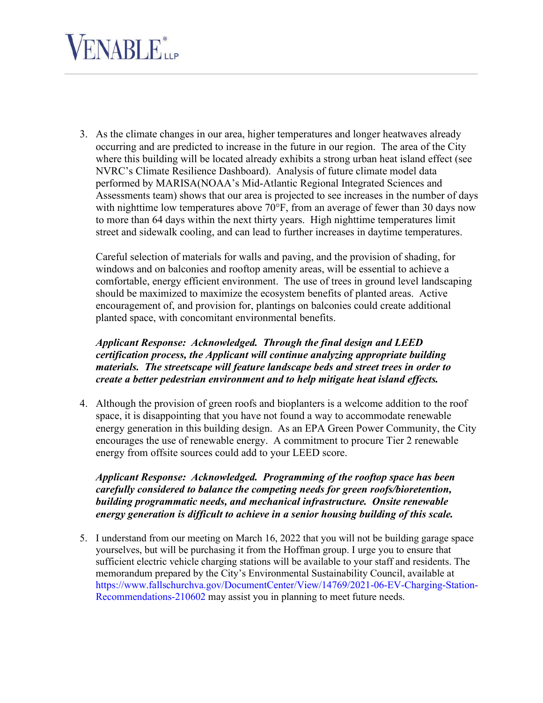# **VENABLE**iLP

3. As the climate changes in our area, higher temperatures and longer heatwaves already occurring and are predicted to increase in the future in our region. The area of the City where this building will be located already exhibits a strong urban heat island effect (see NVRC's Climate Resilience Dashboard). Analysis of future climate model data performed by MARISA(NOAA's Mid-Atlantic Regional Integrated Sciences and Assessments team) shows that our area is projected to see increases in the number of days with nighttime low temperatures above  $70^{\circ}$ F, from an average of fewer than 30 days now to more than 64 days within the next thirty years. High nighttime temperatures limit street and sidewalk cooling, and can lead to further increases in daytime temperatures.

Careful selection of materials for walls and paving, and the provision of shading, for windows and on balconies and rooftop amenity areas, will be essential to achieve a comfortable, energy efficient environment. The use of trees in ground level landscaping should be maximized to maximize the ecosystem benefits of planted areas. Active encouragement of, and provision for, plantings on balconies could create additional planted space, with concomitant environmental benefits.

*Applicant Response: Acknowledged. Through the final design and LEED certification process, the Applicant will continue analyzing appropriate building materials. The streetscape will feature landscape beds and street trees in order to create a better pedestrian environment and to help mitigate heat island effects.*

4. Although the provision of green roofs and bioplanters is a welcome addition to the roof space, it is disappointing that you have not found a way to accommodate renewable energy generation in this building design. As an EPA Green Power Community, the City encourages the use of renewable energy. A commitment to procure Tier 2 renewable energy from offsite sources could add to your LEED score.

*Applicant Response: Acknowledged. Programming of the rooftop space has been carefully considered to balance the competing needs for green roofs/bioretention, building programmatic needs, and mechanical infrastructure. Onsite renewable energy generation is difficult to achieve in a senior housing building of this scale.*

5. I understand from our meeting on March 16, 2022 that you will not be building garage space yourselves, but will be purchasing it from the Hoffman group. I urge you to ensure that sufficient electric vehicle charging stations will be available to your staff and residents. The memorandum prepared by the City's Environmental Sustainability Council, available at https://www.fallschurchva.gov/DocumentCenter/View/14769/2021-06-EV-Charging-Station-Recommendations-210602 may assist you in planning to meet future needs.